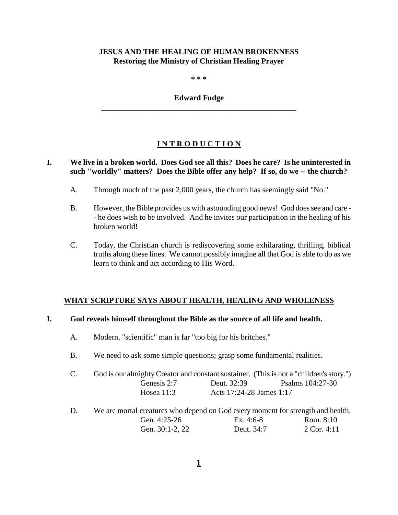## **JESUS AND THE HEALING OF HUMAN BROKENNESS Restoring the Ministry of Christian Healing Prayer**

**\* \* \***

#### **Edward Fudge \_\_\_\_\_\_\_\_\_\_\_\_\_\_\_\_\_\_\_\_\_\_\_\_\_\_\_\_\_\_\_\_\_\_\_\_\_\_\_\_\_\_\_\_\_\_\_\_\_\_**

# **I N T R O D U C T I O N**

### **I. We live in a broken world. Does God see all this? Does he care? Is he uninterested in such "worldly" matters? Does the Bible offer any help? If so, do we -- the church?**

- A. Through much of the past 2,000 years, the church has seemingly said "No."
- B. However, the Bible provides us with astounding good news! God does see and care - he does wish to be involved. And he invites our participation in the healing of his broken world!
- C. Today, the Christian church is rediscovering some exhilarating, thrilling, biblical truths along these lines. We cannot possibly imagine all that God is able to do as we learn to think and act according to His Word.

# **WHAT SCRIPTURE SAYS ABOUT HEALTH, HEALING AND WHOLENESS**

#### **I. God reveals himself throughout the Bible as the source of all life and health.**

- A. Modern, "scientific" man is far "too big for his britches."
- B. We need to ask some simple questions; grasp some fundamental realities.

| God is our almighty Creator and constant sustainer. (This is not a "children's story.") |                          |                  |
|-----------------------------------------------------------------------------------------|--------------------------|------------------|
| Genesis 2:7                                                                             | Deut. 32:39              | Psalms 104:27-30 |
| Hosea $11:3$                                                                            | Acts 17:24-28 James 1:17 |                  |

D. We are mortal creatures who depend on God every moment for strength and health. Gen. 4:25-26 Ex. 4:6-8 Rom. 8:10 Gen. 30:1-2, 22 Deut. 34:7 2 Cor. 4:11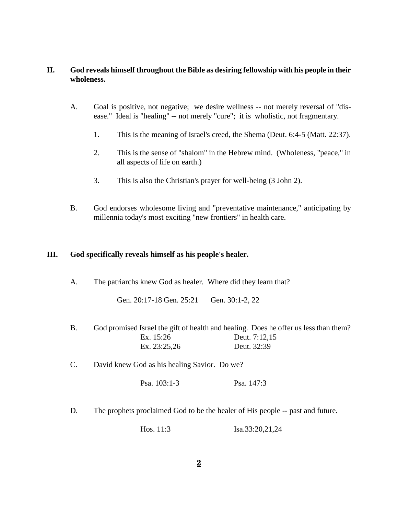## **II. God reveals himself throughout the Bible as desiring fellowship with his people in their wholeness.**

- A. Goal is positive, not negative; we desire wellness -- not merely reversal of "disease." Ideal is "healing" -- not merely "cure"; it is wholistic, not fragmentary.
	- 1. This is the meaning of Israel's creed, the Shema (Deut. 6:4-5 (Matt. 22:37).
	- 2. This is the sense of "shalom" in the Hebrew mind. (Wholeness, "peace," in all aspects of life on earth.)
	- 3. This is also the Christian's prayer for well-being (3 John 2).
- B. God endorses wholesome living and "preventative maintenance," anticipating by millennia today's most exciting "new frontiers" in health care.

#### **III. God specifically reveals himself as his people's healer.**

| A.              | The patriarchs knew God as healer. Where did they learn that?                  |                                                                                                                      |  |
|-----------------|--------------------------------------------------------------------------------|----------------------------------------------------------------------------------------------------------------------|--|
|                 | Gen. 20:17-18 Gen. 25:21                                                       | Gen. 30:1-2, 22                                                                                                      |  |
| <b>B.</b>       | Ex. 15:26<br>Ex. 23:25,26                                                      | God promised Israel the gift of health and healing. Does he offer us less than them?<br>Deut. 7:12,15<br>Deut. 32:39 |  |
| $\mathcal{C}$ . | David knew God as his healing Savior. Do we?                                   |                                                                                                                      |  |
|                 | Psa. 103:1-3                                                                   | Psa. 147:3                                                                                                           |  |
| D.              | The prophets proclaimed God to be the healer of His people -- past and future. |                                                                                                                      |  |
|                 | Hos. $11:3$                                                                    | Isa.33:20,21,24                                                                                                      |  |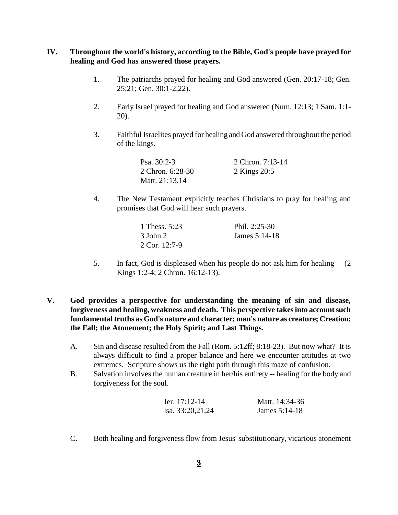### **IV. Throughout the world's history, according to the Bible, God's people have prayed for healing and God has answered those prayers.**

- 1. The patriarchs prayed for healing and God answered (Gen. 20:17-18; Gen. 25:21; Gen. 30:1-2,22).
- 2. Early Israel prayed for healing and God answered (Num. 12:13; 1 Sam. 1:1- 20).
- 3. Faithful Israelites prayed for healing and God answered throughout the period of the kings.

| Psa. $30:2-3$    | 2 Chron. 7:13-14 |
|------------------|------------------|
| 2 Chron. 6:28-30 | 2 Kings 20:5     |
| Matt. 21:13,14   |                  |

4. The New Testament explicitly teaches Christians to pray for healing and promises that God will hear such prayers.

| 1 Thess, 5:23   | Phil. $2:25-30$ |
|-----------------|-----------------|
| 3 John 2        | James $5:14-18$ |
| 2 Cor. $12:7-9$ |                 |

- 5. In fact, God is displeased when his people do not ask him for healing (2 Kings 1:2-4; 2 Chron. 16:12-13).
- **V. God provides a perspective for understanding the meaning of sin and disease, forgiveness and healing, weakness and death. This perspective takes into account such fundamental truths as God's nature and character; man's nature as creature; Creation; the Fall; the Atonement; the Holy Spirit; and Last Things.**
	- A. Sin and disease resulted from the Fall (Rom. 5:12ff; 8:18-23). But now what? It is always difficult to find a proper balance and here we encounter attitudes at two extremes. Scripture shows us the right path through this maze of confusion.
	- B. Salvation involves the human creature in her/his entirety -- healing for the body and forgiveness for the soul.

| Jer. $17:12-14$  | Matt. 14:34-36  |
|------------------|-----------------|
| Isa. 33:20,21,24 | James $5:14-18$ |

C. Both healing and forgiveness flow from Jesus' substitutionary, vicarious atonement